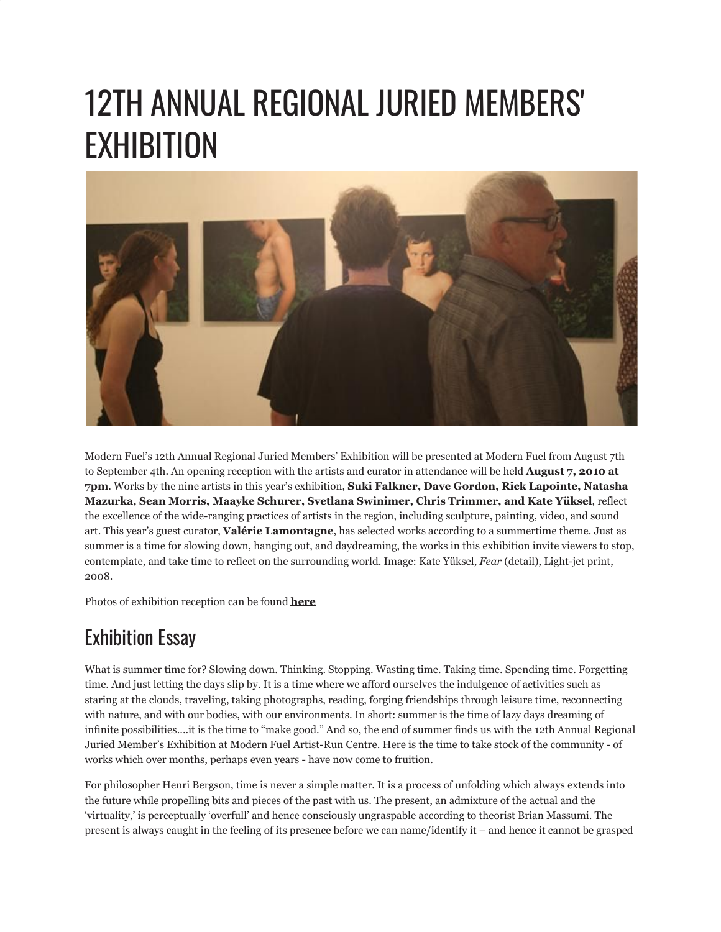## 12TH ANNUAL REGIONAL JURIED MEMBERS' EXHIBITION



Modern Fuel's 12th Annual Regional Juried Members' Exhibition will be presented at Modern Fuel from August 7th to September 4th. An opening reception with the artists and curator in attendance will be held **August 7, 2010 at 7pm**. Works by the nine artists in this year's exhibition, **Suki Falkner, Dave Gordon, Rick Lapointe, Natasha Mazurka, Sean Morris, Maayke Schurer, Svetlana Swinimer, Chris Trimmer, and Kate Yüksel**, reflect the excellence of the wide-ranging practices of artists in the region, including sculpture, painting, video, and sound art. This year's guest curator, **Valérie Lamontagne**, has selected works according to a summertime theme. Just as summer is a time for slowing down, hanging out, and daydreaming, the works in this exhibition invite viewers to stop, contemplate, and take time to reflect on the surrounding world. Image: Kate Yüksel, *Fear* (detail), Light-jet print, 2008.

Photos of exhibition reception can be found **[here](http://www.flickr.com/photos/modernfuel/sets/72157625342174065/with/5206880881/)**

## Exhibition Essay

What is summer time for? Slowing down. Thinking. Stopping. Wasting time. Taking time. Spending time. Forgetting time. And just letting the days slip by. It is a time where we afford ourselves the indulgence of activities such as staring at the clouds, traveling, taking photographs, reading, forging friendships through leisure time, reconnecting with nature, and with our bodies, with our environments. In short: summer is the time of lazy days dreaming of infinite possibilities....it is the time to "make good." And so, the end of summer finds us with the 12th Annual Regional Juried Member's Exhibition at Modern Fuel Artist-Run Centre. Here is the time to take stock of the community - of works which over months, perhaps even years - have now come to fruition.

For philosopher Henri Bergson, time is never a simple matter. It is a process of unfolding which always extends into the future while propelling bits and pieces of the past with us. The present, an admixture of the actual and the 'virtuality,' is perceptually 'overfull' and hence consciously ungraspable according to theorist Brian Massumi. The present is always caught in the feeling of its presence before we can name/identify it – and hence it cannot be grasped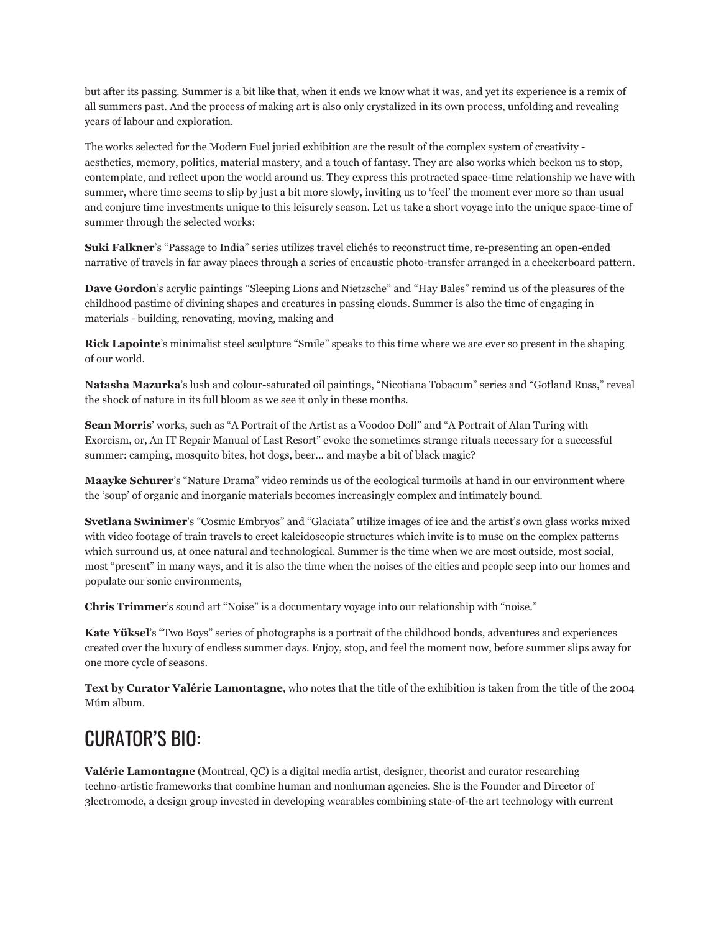but after its passing. Summer is a bit like that, when it ends we know what it was, and yet its experience is a remix of all summers past. And the process of making art is also only crystalized in its own process, unfolding and revealing years of labour and exploration.

The works selected for the Modern Fuel juried exhibition are the result of the complex system of creativity aesthetics, memory, politics, material mastery, and a touch of fantasy. They are also works which beckon us to stop, contemplate, and reflect upon the world around us. They express this protracted space-time relationship we have with summer, where time seems to slip by just a bit more slowly, inviting us to 'feel' the moment ever more so than usual and conjure time investments unique to this leisurely season. Let us take a short voyage into the unique space-time of summer through the selected works:

**Suki Falkner**'s "Passage to India" series utilizes travel clichés to reconstruct time, re-presenting an open-ended narrative of travels in far away places through a series of encaustic photo-transfer arranged in a checkerboard pattern.

**Dave Gordon**'s acrylic paintings "Sleeping Lions and Nietzsche" and "Hay Bales" remind us of the pleasures of the childhood pastime of divining shapes and creatures in passing clouds. Summer is also the time of engaging in materials - building, renovating, moving, making and

**Rick Lapointe**'s minimalist steel sculpture "Smile" speaks to this time where we are ever so present in the shaping of our world.

**Natasha Mazurka**'s lush and colour-saturated oil paintings, "Nicotiana Tobacum" series and "Gotland Russ," reveal the shock of nature in its full bloom as we see it only in these months.

**Sean Morris**' works, such as "A Portrait of the Artist as a Voodoo Doll" and "A Portrait of Alan Turing with Exorcism, or, An IT Repair Manual of Last Resort" evoke the sometimes strange rituals necessary for a successful summer: camping, mosquito bites, hot dogs, beer... and maybe a bit of black magic?

**Maayke Schurer**'s "Nature Drama" video reminds us of the ecological turmoils at hand in our environment where the 'soup' of organic and inorganic materials becomes increasingly complex and intimately bound.

**Svetlana Swinimer**'s "Cosmic Embryos" and "Glaciata" utilize images of ice and the artist's own glass works mixed with video footage of train travels to erect kaleidoscopic structures which invite is to muse on the complex patterns which surround us, at once natural and technological. Summer is the time when we are most outside, most social, most "present" in many ways, and it is also the time when the noises of the cities and people seep into our homes and populate our sonic environments,

**Chris Trimmer**'s sound art "Noise" is a documentary voyage into our relationship with "noise."

**Kate Yüksel**'s "Two Boys" series of photographs is a portrait of the childhood bonds, adventures and experiences created over the luxury of endless summer days. Enjoy, stop, and feel the moment now, before summer slips away for one more cycle of seasons.

**Text by Curator Valérie Lamontagne**, who notes that the title of the exhibition is taken from the title of the 2004 Múm album.

## CURATOR'S BIO:

**Valérie Lamontagne** (Montreal, QC) is a digital media artist, designer, theorist and curator researching techno-artistic frameworks that combine human and nonhuman agencies. She is the Founder and Director of 3lectromode, a design group invested in developing wearables combining state-of-the art technology with current